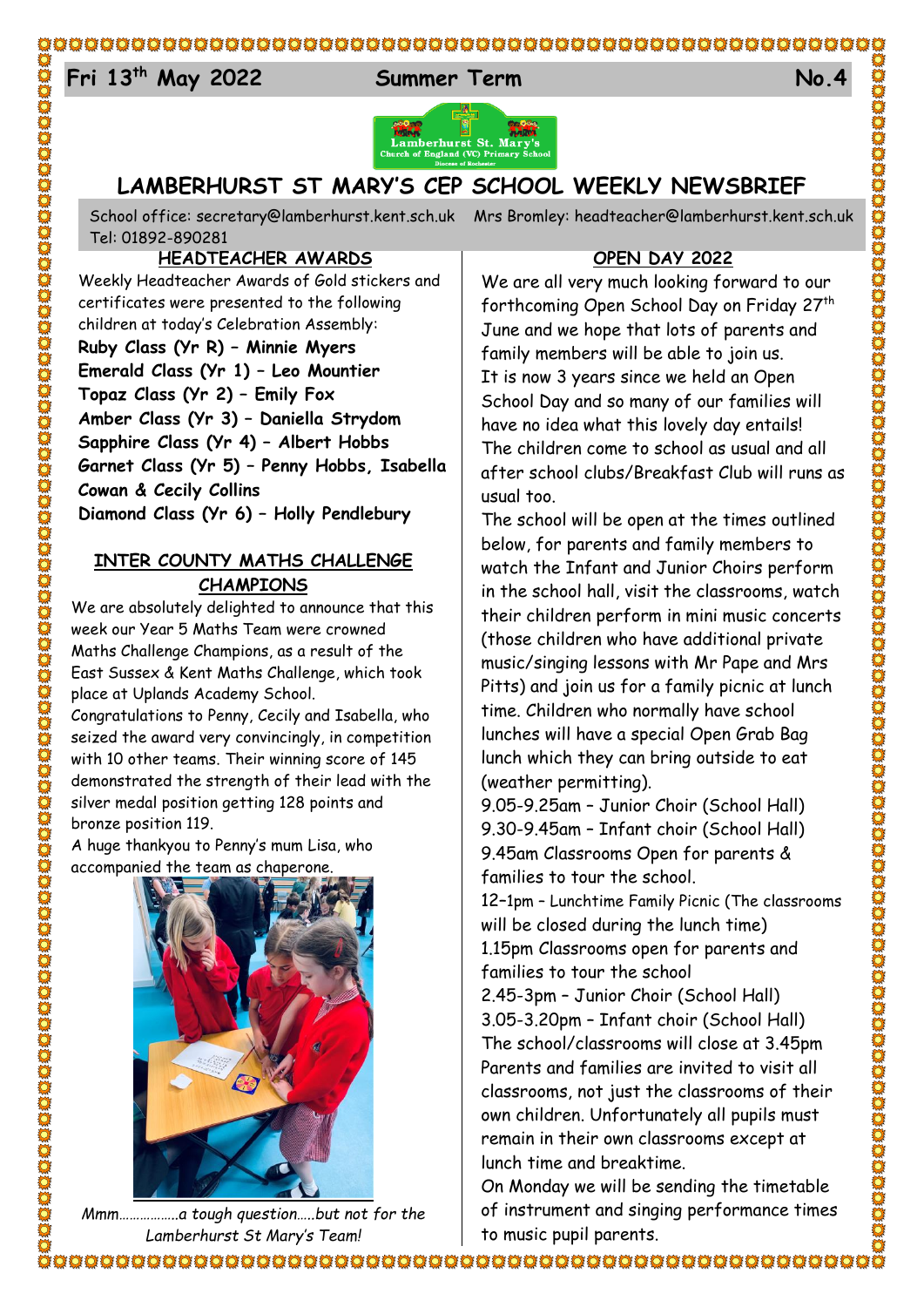#### $E_{4}$ **Fri 13th May 2022 Summer Term No.4**



# **LAMBERHURST ST MARY'S CEP SCHOOL WEEKLY NEWSBRIEF**

School office: [secretary@lamberhurst.kent.sch.uk](mailto:secretary@lamberhurst.kent.sch.uk) Mrs Bromley: headteacher@lamberhurst.kent.sch.uk Tel: 01892-890281

**HEADTEACHER AWARDS**

Weekly Headteacher Awards of Gold stickers and certificates were presented to the following children at today's Celebration Assembly: **Ruby Class (Yr R) – Minnie Myers Emerald Class (Yr 1) – Leo Mountier Topaz Class (Yr 2) – Emily Fox Amber Class (Yr 3) – Daniella Strydom Sapphire Class (Yr 4) – Albert Hobbs Garnet Class (Yr 5) – Penny Hobbs, Isabella Cowan & Cecily Collins Diamond Class (Yr 6) – Holly Pendlebury**

## **INTER COUNTY MATHS CHALLENGE CHAMPIONS**

We are absolutely delighted to announce that this week our Year 5 Maths Team were crowned Maths Challenge Champions, as a result of the East Sussex & Kent Maths Challenge, which took place at Uplands Academy School.

Congratulations to Penny, Cecily and Isabella, who seized the award very convincingly, in competition with 10 other teams. Their winning score of 145 demonstrated the strength of their lead with the silver medal position getting 128 points and bronze position 119.

A huge thankyou to Penny's mum Lisa, who accompanied the team as chaperone.



*Mmm……………..a tough question…..but not for the Lamberhurst St Mary's Team!*

### **OPEN DAY 2022**

We are all very much looking forward to our forthcoming Open School Day on Friday 27th June and we hope that lots of parents and family members will be able to join us. It is now 3 years since we held an Open School Day and so many of our families will have no idea what this lovely day entails! The children come to school as usual and all after school clubs/Breakfast Club will runs as usual too.

The school will be open at the times outlined below, for parents and family members to watch the Infant and Junior Choirs perform in the school hall, visit the classrooms, watch their children perform in mini music concerts (those children who have additional private music/singing lessons with Mr Pape and Mrs Pitts) and join us for a family picnic at lunch time. Children who normally have school lunches will have a special Open Grab Bag lunch which they can bring outside to eat (weather permitting).

9.05-9.25am – Junior Choir (School Hall) 9.30-9.45am – Infant choir (School Hall) 9.45am Classrooms Open for parents & families to tour the school.

12–1pm – Lunchtime Family Picnic (The classrooms will be closed during the lunch time) 1.15pm Classrooms open for parents and families to tour the school

2.45-3pm – Junior Choir (School Hall) 3.05-3.20pm – Infant choir (School Hall) The school/classrooms will close at 3.45pm Parents and families are invited to visit all classrooms, not just the classrooms of their own children. Unfortunately all pupils must remain in their own classrooms except at lunch time and breaktime.

On Monday we will be sending the timetable of instrument and singing performance times to music pupil parents.